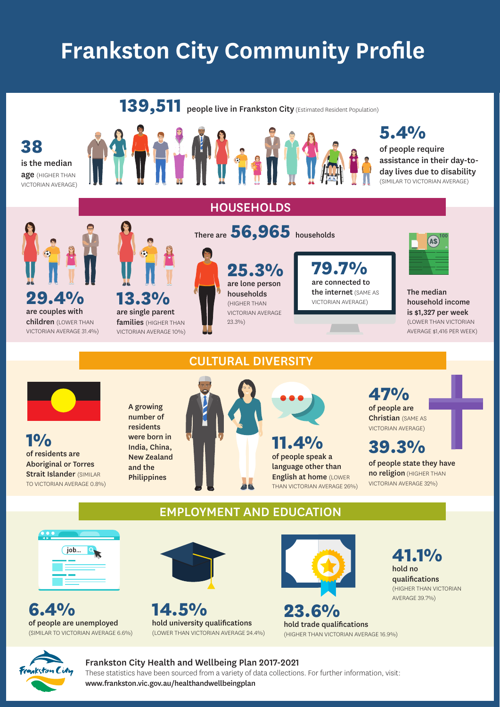# **Frankston City Community Profile**



#### Frankston City Health and Wellbeing Plan 2017-2021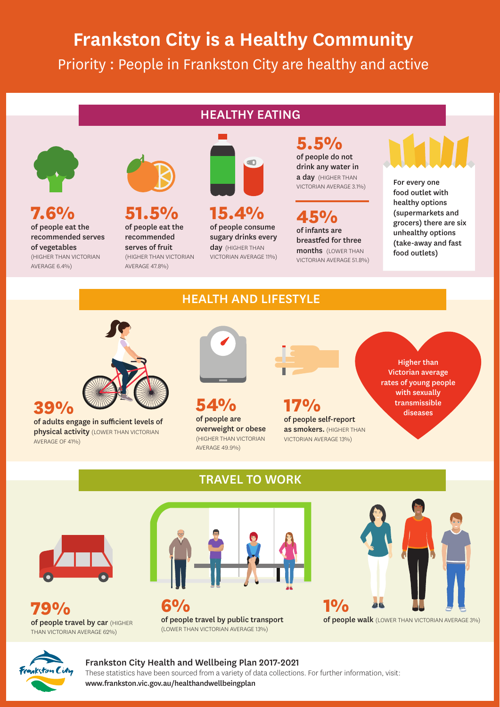## **Frankston City is a Healthy Community** Priority : People in Frankston City are healthy and active

### HEALTHY EATING



**7.6%** of people eat the recommended serves of vegetables (HIGHER THAN VICTORIAN

AVERAGE 6.4%)

recommended serves of fruit (HIGHER THAN VICTORIAN AVERAGE 47.8%)

**51.5%** of people eat the



**15.4%**  of people consume sugary drinks every day (HIGHER THAN VICTORIAN AVERAGE 11%) **5.5%**  of people do not drink any water in a day (HIGHER THAN VICTORIAN AVERAGE 3.1%)

**45%** of infants are breastfed for three months (LOWER THAN VICTORIAN AVERAGE 51.8%)

as smokers. (HIGHER THAN VICTORIAN AVERAGE 13%)

For every one food outlet with healthy options (supermarkets and grocers) there are six unhealthy options

(take-away and fast food outlets)

## HEALTH AND LIFESTYLE



of adults engage in sufficient levels of **physical activity** (LOWER THAN VICTORIAN AVERAGE OF 41%)

### TRAVEL TO WORK



**79%** of people travel by car (HIGHER THAN VICTORIAN AVERAGE 62%)



overweight or obese (HIGHER THAN VICTORIAN AVERAGE 49.9%)

**6%** of people travel by public transport (LOWER THAN VICTORIAN AVERAGE 13%)



of people walk (LOWER THAN VICTORIAN AVERAGE 3%)



#### Frankston City Health and Wellbeing Plan 2017-2021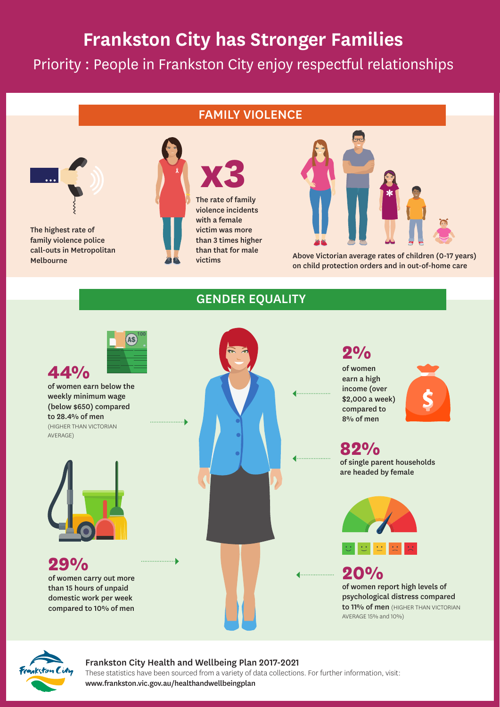## **Frankston City has Stronger Families**

Priority : People in Frankston City enjoy respectful relationships

### FAMILY VIOLENCE



The highest rate of family violence police call-outs in Metropolitan Melbourne



violence incidents with a female victim was more than 3 times higher than that for male victims



Above Victorian average rates of children (0-17 years) on child protection orders and in out-of-home care

#### GENDER EQUALITY





#### Frankston City Health and Wellbeing Plan 2017-2021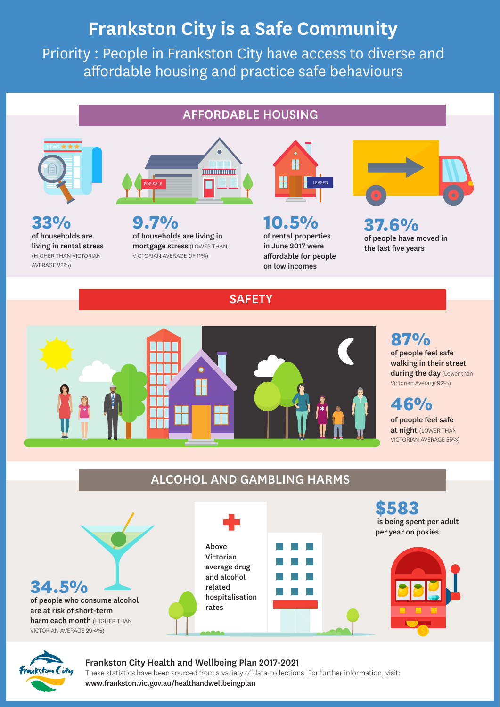## **Frankston City is a Safe Community**

Priority : People in Frankston City have access to diverse and affordable housing and practice safe behaviours

### AFFORDABLE HOUSING



**33%** of households are living in rental stress (HIGHER THAN VICTORIAN AVERAGE 28%)



**9.7%** of households are living in mortgage stress (LOWER THAN VICTORIAN AVERAGE OF 11%)



**10.5%** of rental properties in June 2017 were affordable for people on low incomes



**37.6%**  of people have moved in the last five years



#### **87%**  of people feel safe walking in their street during the day (Lower than Victorian Average 92%)

of people feel safe at night (LOWER THAN VICTORIAN AVERAGE 55%)

## ALCOHOL AND GAMBLING HARMS

**SAFETY** 





#### Frankston City Health and Wellbeing Plan 2017-2021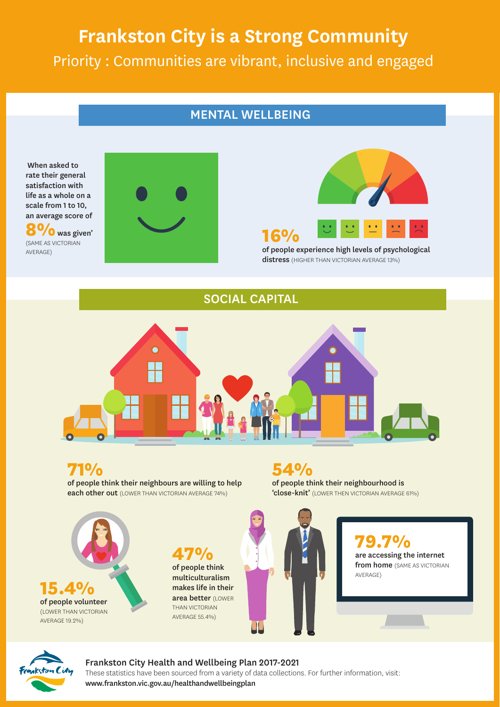## **Frankston City is a Strong Community** Priority : Communities are vibrant, inclusive and engaged

### MENTAL WELLBEING

When asked to rate their general satisfaction with life as a whole on a scale from 1 to 10, an average score of **8%**was given' (SAME AS VICTORIAN AVERAGE)





**16%** of people experience high levels of psychological distress (HIGHER THAN VICTORIAN AVERAGE 13%)

#### SOCIAL CAPITAL



**71%**

of people think their neighbours are willing to help each other out (LOWER THAN VICTORIAN AVERAGE 74%)

**54%**  of people think their neighbourhood is 'close-knit' (LOWER THEN VICTORIAN AVERAGE 61%)



**47%**  of people think multiculturalism makes life in their area better (LOWER THAN VICTORIAN AVERAGE 55.4%)



 $\mathbf{v}_{\mathbf{0}}$ are accessing the internet from home (SAME AS VICTORIAN AVERAGE)



#### Frankston City Health and Wellbeing Plan 2017-2021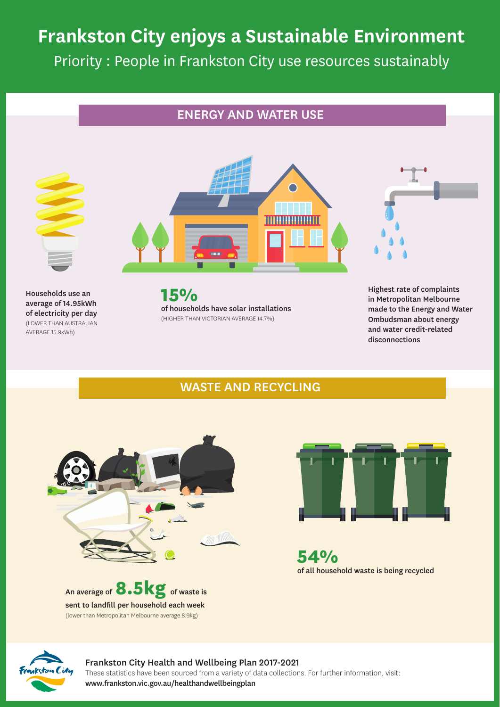## **Frankston City enjoys a Sustainable Environment** Priority : People in Frankston City use resources sustainably

### ENERGY AND WATER USE





Households use an average of 14.95kWh of electricity per day (LOWER THAN AUSTRALIAN AVERAGE 15.9kWh)

**15%** of households have solar installations (HIGHER THAN VICTORIAN AVERAGE 14.7%)

Highest rate of complaints in Metropolitan Melbourne made to the Energy and Water Ombudsman about energy and water credit-related disconnections

### WASTE AND RECYCLING







**54%** of all household waste is being recycled



#### Frankston City Health and Wellbeing Plan 2017-2021